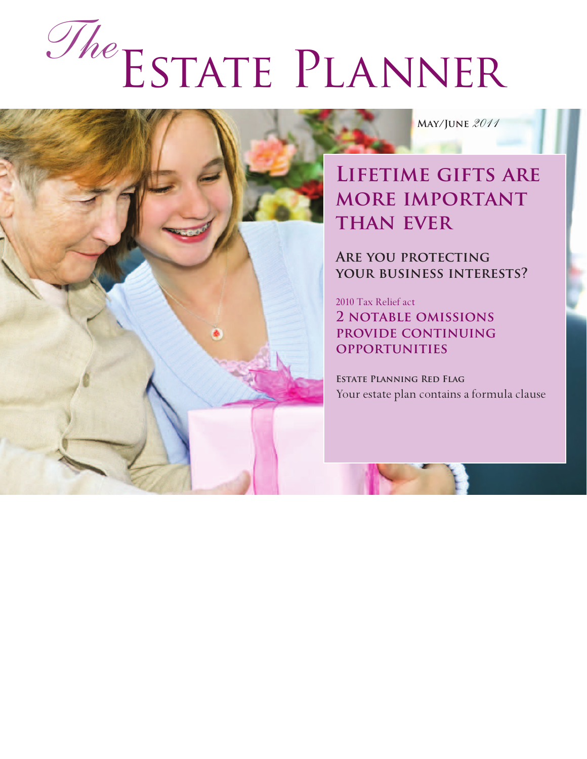# Estate Planner *The*

**May/June** *2011*

**Lifetime gifts are more important than ever** 

**Are you protecting your business interests?**

2010 Tax Relief act **2 notable omissions provide continuing opportunities**

**Estate Planning Red Flag** Your estate plan contains a formula clause

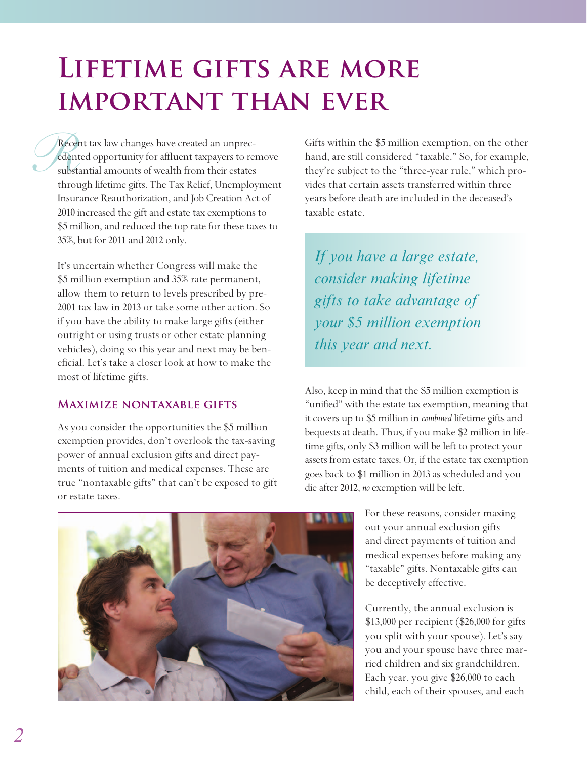# **Lifetime gifts are more important than ever**

Recent<br>
subst Recent tax law changes have created an unprecedented opportunity for affluent taxpayers to remove substantial amounts of wealth from their estates through lifetime gifts. The Tax Relief, Unemployment Insurance Reauthorization, and Job Creation Act of 2010 increased the gift and estate tax exemptions to \$5 million, and reduced the top rate for these taxes to 35%, but for 2011 and 2012 only.

It's uncertain whether Congress will make the \$5 million exemption and 35% rate permanent, allow them to return to levels prescribed by pre-2001 tax law in 2013 or take some other action. So if you have the ability to make large gifts (either outright or using trusts or other estate planning vehicles), doing so this year and next may be beneficial. Let's take a closer look at how to make the most of lifetime gifts.

#### **Maximize nontaxable gifts**

As you consider the opportunities the \$5 million exemption provides, don't overlook the tax-saving power of annual exclusion gifts and direct payments of tuition and medical expenses. These are true "nontaxable gifts" that can't be exposed to gift or estate taxes.

Gifts within the \$5 million exemption, on the other hand, are still considered "taxable." So, for example, they're subject to the "three-year rule," which provides that certain assets transferred within three years before death are included in the deceased's taxable estate.

*If you have a large estate, consider making lifetime gifts to take advantage of your \$5 million exemption this year and next.*

Also, keep in mind that the \$5 million exemption is "unified" with the estate tax exemption, meaning that it covers up to \$5 million in *combined* lifetime gifts and bequests at death. Thus, if you make \$2 million in lifetime gifts, only \$3 million will be left to protect your assets from estate taxes. Or, if the estate tax exemption goes back to \$1 million in 2013 as scheduled and you die after 2012, *no* exemption will be left.



For these reasons, consider maxing out your annual exclusion gifts and direct payments of tuition and medical expenses before making any "taxable" gifts. Nontaxable gifts can be deceptively effective.

Currently, the annual exclusion is \$13,000 per recipient (\$26,000 for gifts you split with your spouse). Let's say you and your spouse have three married children and six grandchildren. Each year, you give \$26,000 to each child, each of their spouses, and each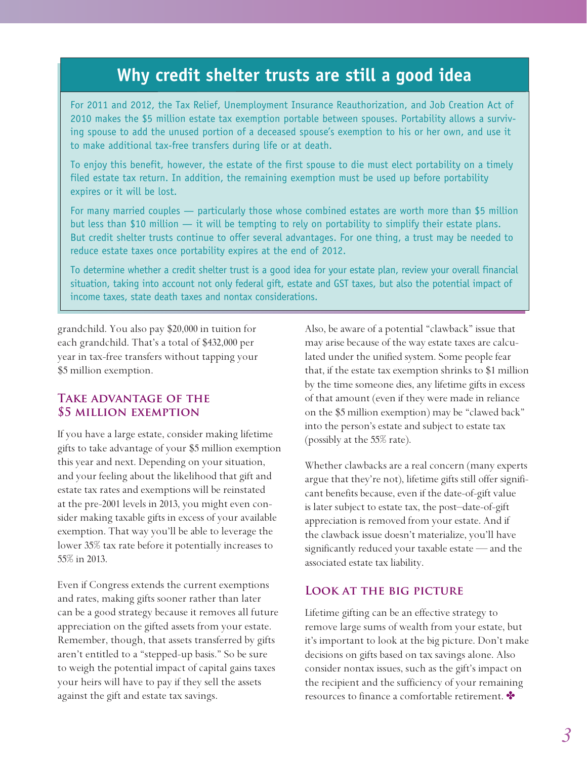## **Why credit shelter trusts are still a good idea**

For 2011 and 2012, the Tax Relief, Unemployment Insurance Reauthorization, and Job Creation Act of 2010 makes the \$5 million estate tax exemption portable between spouses. Portability allows a surviving spouse to add the unused portion of a deceased spouse's exemption to his or her own, and use it to make additional tax-free transfers during life or at death.

To enjoy this benefit, however, the estate of the first spouse to die must elect portability on a timely filed estate tax return. In addition, the remaining exemption must be used up before portability expires or it will be lost.

For many married couples — particularly those whose combined estates are worth more than \$5 million but less than \$10 million — it will be tempting to rely on portability to simplify their estate plans. But credit shelter trusts continue to offer several advantages. For one thing, a trust may be needed to reduce estate taxes once portability expires at the end of 2012.

To determine whether a credit shelter trust is a good idea for your estate plan, review your overall financial situation, taking into account not only federal gift, estate and GST taxes, but also the potential impact of income taxes, state death taxes and nontax considerations.

grandchild. You also pay \$20,000 in tuition for each grandchild. That's a total of \$432,000 per year in tax-free transfers without tapping your \$5 million exemption.

#### **Take advantage of the \$5 million exemption**

If you have a large estate, consider making lifetime gifts to take advantage of your \$5 million exemption this year and next. Depending on your situation, and your feeling about the likelihood that gift and estate tax rates and exemptions will be reinstated at the pre-2001 levels in 2013, you might even consider making taxable gifts in excess of your available exemption. That way you'll be able to leverage the lower 35% tax rate before it potentially increases to 55% in 2013.

Even if Congress extends the current exemptions and rates, making gifts sooner rather than later can be a good strategy because it removes all future appreciation on the gifted assets from your estate. Remember, though, that assets transferred by gifts aren't entitled to a "stepped-up basis." So be sure to weigh the potential impact of capital gains taxes your heirs will have to pay if they sell the assets against the gift and estate tax savings.

Also, be aware of a potential "clawback" issue that may arise because of the way estate taxes are calculated under the unified system. Some people fear that, if the estate tax exemption shrinks to \$1 million by the time someone dies, any lifetime gifts in excess of that amount (even if they were made in reliance on the \$5 million exemption) may be "clawed back" into the person's estate and subject to estate tax (possibly at the 55% rate).

Whether clawbacks are a real concern (many experts argue that they're not), lifetime gifts still offer significant benefits because, even if the date-of-gift value is later subject to estate tax, the post–date-of-gift appreciation is removed from your estate. And if the clawback issue doesn't materialize, you'll have significantly reduced your taxable estate — and the associated estate tax liability.

#### **Look at the big picture**

Lifetime gifting can be an effective strategy to remove large sums of wealth from your estate, but it's important to look at the big picture. Don't make decisions on gifts based on tax savings alone. Also consider nontax issues, such as the gift's impact on the recipient and the sufficiency of your remaining resources to finance a comfortable retirement.  $\clubsuit$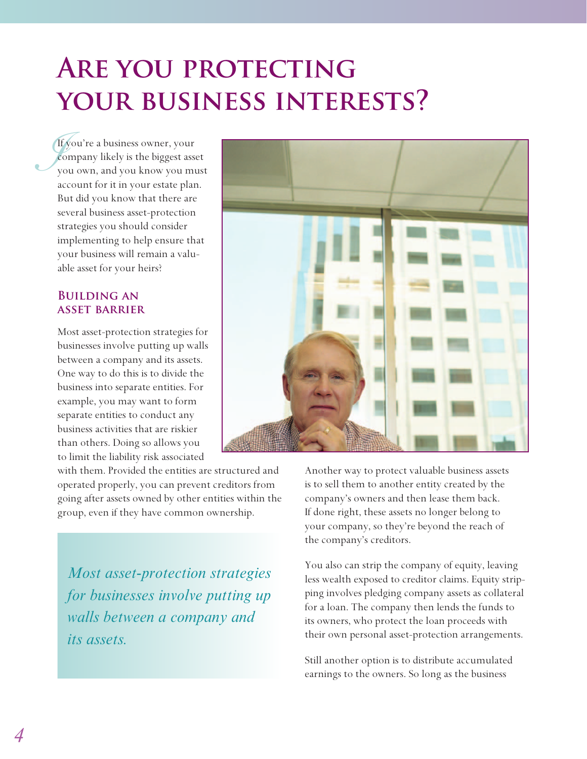# **ARE YOU PROTECTING your business interests?**

*J*<sub>*v*</sub> If you're a business owner, your company likely is the biggest asset you own, and you know you must account for it in your estate plan. But did you know that there are several business asset-protection strategies you should consider implementing to help ensure that your business will remain a valuable asset for your heirs?

#### **Building an asset barrier**

Most asset-protection strategies for businesses involve putting up walls between a company and its assets. One way to do this is to divide the business into separate entities. For example, you may want to form separate entities to conduct any business activities that are riskier than others. Doing so allows you to limit the liability risk associated

with them. Provided the entities are structured and operated properly, you can prevent creditors from going after assets owned by other entities within the group, even if they have common ownership.

*Most asset-protection strategies for businesses involve putting up walls between a company and its assets.*



Another way to protect valuable business assets is to sell them to another entity created by the company's owners and then lease them back. If done right, these assets no longer belong to your company, so they're beyond the reach of the company's creditors.

You also can strip the company of equity, leaving less wealth exposed to creditor claims. Equity stripping involves pledging company assets as collateral for a loan. The company then lends the funds to its owners, who protect the loan proceeds with their own personal asset-protection arrangements.

Still another option is to distribute accumulated earnings to the owners. So long as the business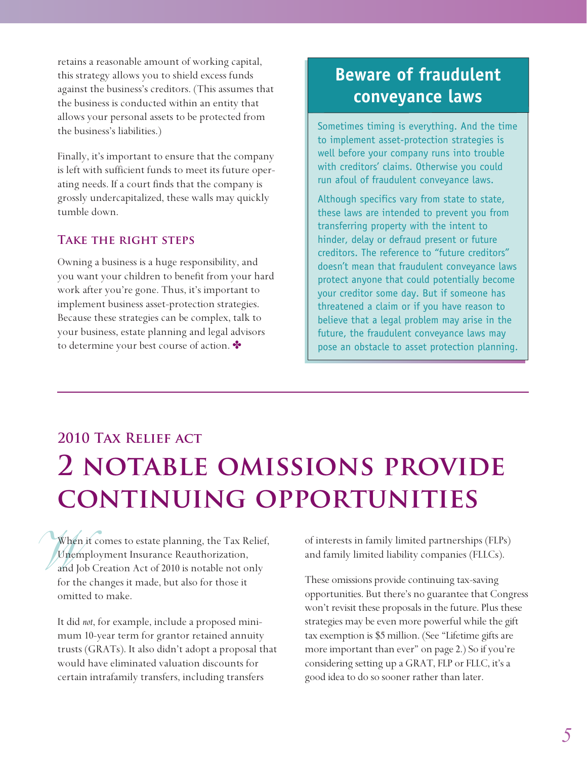retains a reasonable amount of working capital, this strategy allows you to shield excess funds against the business's creditors. (This assumes that the business is conducted within an entity that allows your personal assets to be protected from the business's liabilities.)

Finally, it's important to ensure that the company is left with sufficient funds to meet its future operating needs. If a court finds that the company is grossly undercapitalized, these walls may quickly tumble down.

#### **Take the right steps**

Owning a business is a huge responsibility, and you want your children to benefit from your hard work after you're gone. Thus, it's important to implement business asset-protection strategies. Because these strategies can be complex, talk to your business, estate planning and legal advisors to determine your best course of action.

## **Beware of fraudulent conveyance laws**

Sometimes timing is everything. And the time to implement asset-protection strategies is well before your company runs into trouble with creditors' claims. Otherwise you could run afoul of fraudulent conveyance laws.

Although specifics vary from state to state, these laws are intended to prevent you from transferring property with the intent to hinder, delay or defraud present or future creditors. The reference to "future creditors" doesn't mean that fraudulent conveyance laws protect anyone that could potentially become your creditor some day. But if someone has threatened a claim or if you have reason to believe that a legal problem may arise in the future, the fraudulent conveyance laws may pose an obstacle to asset protection planning.

## **2010 Tax Relief act 2 notable omissions provide continuing opportunities**

When it comes to estate planning, the Tax Relief,<br>*Whemployment Insurance Reauthorization*,<br>and Job Creation Act of 2010 is notable not only<br>for the changes it made, but also for those it Unemployment Insurance Reauthorization, and Job Creation Act of 2010 is notable not only for the changes it made, but also for those it omitted to make.

It did *not*, for example, include a proposed minimum 10-year term for grantor retained annuity trusts (GRATs). It also didn't adopt a proposal that would have eliminated valuation discounts for certain intrafamily transfers, including transfers

of interests in family limited partnerships (FLPs) and family limited liability companies (FLLCs).

These omissions provide continuing tax-saving opportunities. But there's no guarantee that Congress won't revisit these proposals in the future. Plus these strategies may be even more powerful while the gift tax exemption is \$5 million. (See "Lifetime gifts are more important than ever" on page 2.) So if you're considering setting up a GRAT, FLP or FLLC, it's a good idea to do so sooner rather than later.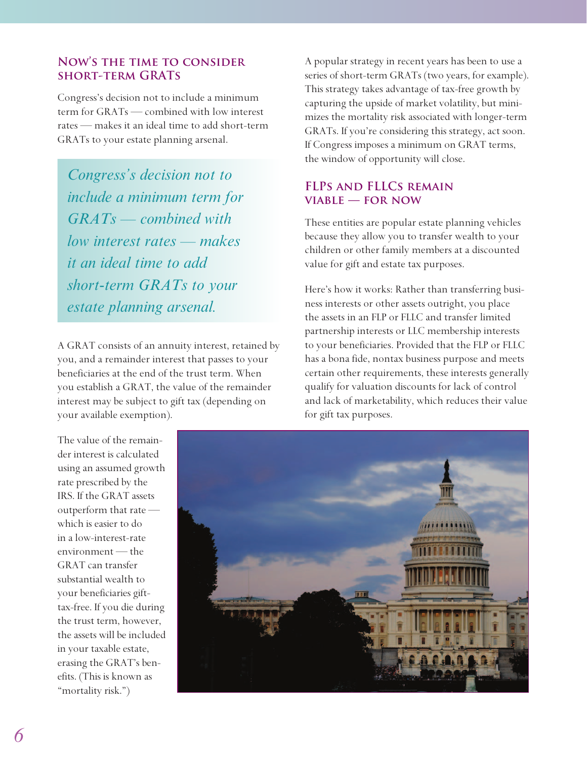#### **Now's the time to consider short-term GRATs**

Congress's decision not to include a minimum term for GRATs — combined with low interest rates — makes it an ideal time to add short-term GRATs to your estate planning arsenal.

*Congress's decision not to include a minimum term for GRATs — combined with low interest rates — makes it an ideal time to add short-term GRATs to your estate planning arsenal.*

A GRAT consists of an annuity interest, retained by you, and a remainder interest that passes to your beneficiaries at the end of the trust term. When you establish a GRAT, the value of the remainder interest may be subject to gift tax (depending on your available exemption).

A popular strategy in recent years has been to use a series of short-term GRATs (two years, for example). This strategy takes advantage of tax-free growth by capturing the upside of market volatility, but minimizes the mortality risk associated with longer-term GRATs. If you're considering this strategy, act soon. If Congress imposes a minimum on GRAT terms, the window of opportunity will close.

#### **FLPs and FLLCs remain viable — for now**

These entities are popular estate planning vehicles because they allow you to transfer wealth to your children or other family members at a discounted value for gift and estate tax purposes.

Here's how it works: Rather than transferring business interests or other assets outright, you place the assets in an FLP or FLLC and transfer limited partnership interests or LLC membership interests to your beneficiaries. Provided that the FLP or FLLC has a bona fide, nontax business purpose and meets certain other requirements, these interests generally qualify for valuation discounts for lack of control and lack of marketability, which reduces their value for gift tax purposes.

The value of the remainder interest is calculated using an assumed growth rate prescribed by the IRS. If the GRAT assets outperform that rate which is easier to do in a low-interest-rate environment — the GRAT can transfer substantial wealth to your beneficiaries gifttax-free. If you die during the trust term, however, the assets will be included in your taxable estate, erasing the GRAT's benefits. (This is known as "mortality risk.")